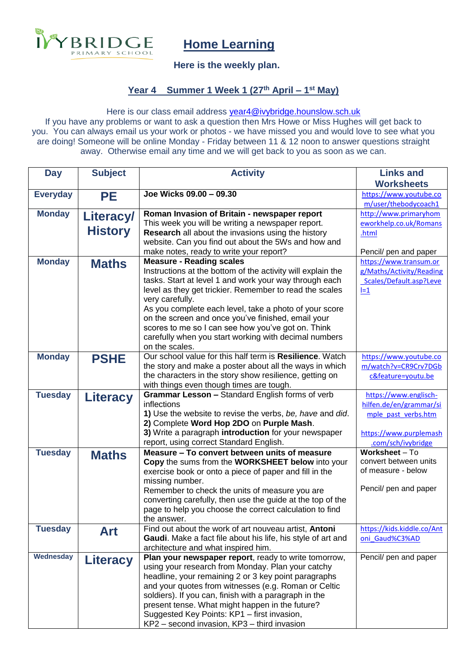

# **Home Learning**

### **Here is the weekly plan.**

### **Year 4 Summer 1 Week 1 (27th April – 1 st May)**

#### Here is our class email address [year4@ivybridge.hounslow.sch.uk](mailto:year4@ivybridge.hounslow.sch.uk)

If you have any problems or want to ask a question then Mrs Howe or Miss Hughes will get back to you. You can always email us your work or photos - we have missed you and would love to see what you are doing! Someone will be online Monday - Friday between 11 & 12 noon to answer questions straight away. Otherwise email any time and we will get back to you as soon as we can.

| <b>Day</b>      | <b>Subject</b>   | <b>Activity</b>                                                                                              | <b>Links and</b>                            |
|-----------------|------------------|--------------------------------------------------------------------------------------------------------------|---------------------------------------------|
|                 |                  |                                                                                                              | <b>Worksheets</b>                           |
| <b>Everyday</b> | <b>PE</b>        | Joe Wicks 09.00 - 09.30                                                                                      | https://www.youtube.co                      |
|                 |                  |                                                                                                              | m/user/thebodycoach1                        |
| <b>Monday</b>   | <b>Literacy/</b> | Roman Invasion of Britain - newspaper report                                                                 | http://www.primaryhom                       |
|                 |                  | This week you will be writing a newspaper report.                                                            | eworkhelp.co.uk/Romans                      |
|                 | <b>History</b>   | <b>Research</b> all about the invasions using the history                                                    | .html                                       |
|                 |                  | website. Can you find out about the 5Ws and how and                                                          |                                             |
|                 |                  | make notes, ready to write your report?                                                                      | Pencil/ pen and paper                       |
| <b>Monday</b>   | <b>Maths</b>     | <b>Measure - Reading scales</b>                                                                              | https://www.transum.or                      |
|                 |                  | Instructions at the bottom of the activity will explain the                                                  | g/Maths/Activity/Reading                    |
|                 |                  | tasks. Start at level 1 and work your way through each                                                       | Scales/Default.asp?Leve                     |
|                 |                  | level as they get trickier. Remember to read the scales<br>very carefully.                                   | $l=1$                                       |
|                 |                  | As you complete each level, take a photo of your score                                                       |                                             |
|                 |                  | on the screen and once you've finished, email your                                                           |                                             |
|                 |                  | scores to me so I can see how you've got on. Think                                                           |                                             |
|                 |                  | carefully when you start working with decimal numbers                                                        |                                             |
|                 |                  | on the scales.                                                                                               |                                             |
| <b>Monday</b>   | <b>PSHE</b>      | Our school value for this half term is Resilience. Watch                                                     | https://www.youtube.co                      |
|                 |                  | the story and make a poster about all the ways in which                                                      | m/watch?v=CR9Crv7DGb                        |
|                 |                  | the characters in the story show resilience, getting on                                                      | c&feature=youtu.be                          |
|                 |                  | with things even though times are tough.                                                                     |                                             |
| <b>Tuesday</b>  | <b>Literacy</b>  | Grammar Lesson - Standard English forms of verb                                                              | https://www.englisch-                       |
|                 |                  | inflections                                                                                                  | hilfen.de/en/grammar/si                     |
|                 |                  | 1) Use the website to revise the verbs, be, have and did.                                                    | mple past verbs.htm                         |
|                 |                  | 2) Complete Word Hop 2DO on Purple Mash.                                                                     |                                             |
|                 |                  | 3) Write a paragraph introduction for your newspaper                                                         | https://www.purplemash                      |
|                 |                  | report, using correct Standard English.                                                                      | .com/sch/ivybridge                          |
| <b>Tuesday</b>  | <b>Maths</b>     | Measure - To convert between units of measure                                                                | Worksheet - To                              |
|                 |                  | Copy the sums from the WORKSHEET below into your                                                             | convert between units<br>of measure - below |
|                 |                  | exercise book or onto a piece of paper and fill in the                                                       |                                             |
|                 |                  | missing number.                                                                                              | Pencil/ pen and paper                       |
|                 |                  | Remember to check the units of measure you are<br>converting carefully, then use the guide at the top of the |                                             |
|                 |                  | page to help you choose the correct calculation to find                                                      |                                             |
|                 |                  | the answer.                                                                                                  |                                             |
| <b>Tuesday</b>  |                  | Find out about the work of art nouveau artist, Antoni                                                        | https://kids.kiddle.co/Ant                  |
|                 | Art              | Gaudi. Make a fact file about his life, his style of art and                                                 | oni Gaud%C3%AD                              |
|                 |                  | architecture and what inspired him.                                                                          |                                             |
| Wednesday       | Literacy         | Plan your newspaper report, ready to write tomorrow,                                                         | Pencil/ pen and paper                       |
|                 |                  | using your research from Monday. Plan your catchy                                                            |                                             |
|                 |                  | headline, your remaining 2 or 3 key point paragraphs                                                         |                                             |
|                 |                  | and your quotes from witnesses (e.g. Roman or Celtic                                                         |                                             |
|                 |                  | soldiers). If you can, finish with a paragraph in the                                                        |                                             |
|                 |                  | present tense. What might happen in the future?                                                              |                                             |
|                 |                  | Suggested Key Points: KP1 - first invasion,                                                                  |                                             |
|                 |                  | KP2 - second invasion, KP3 - third invasion                                                                  |                                             |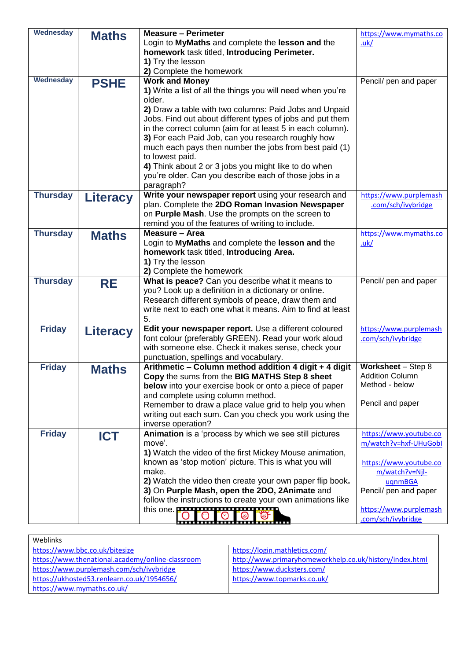| <b>Wednesday</b> | <b>Maths</b>    | <b>Measure - Perimeter</b>                                                                                       | https://www.mymaths.co                   |
|------------------|-----------------|------------------------------------------------------------------------------------------------------------------|------------------------------------------|
|                  |                 | Login to MyMaths and complete the lesson and the                                                                 | uk/                                      |
|                  |                 | homework task titled, Introducing Perimeter.                                                                     |                                          |
|                  |                 | 1) Try the lesson                                                                                                |                                          |
|                  |                 | 2) Complete the homework                                                                                         |                                          |
| <b>Wednesday</b> | <b>PSHE</b>     | <b>Work and Money</b>                                                                                            | Pencil/ pen and paper                    |
|                  |                 | 1) Write a list of all the things you will need when you're                                                      |                                          |
|                  |                 | older.                                                                                                           |                                          |
|                  |                 | 2) Draw a table with two columns: Paid Jobs and Unpaid                                                           |                                          |
|                  |                 | Jobs. Find out about different types of jobs and put them                                                        |                                          |
|                  |                 | in the correct column (aim for at least 5 in each column).                                                       |                                          |
|                  |                 | 3) For each Paid Job, can you research roughly how                                                               |                                          |
|                  |                 | much each pays then number the jobs from best paid (1)                                                           |                                          |
|                  |                 | to lowest paid.                                                                                                  |                                          |
|                  |                 | 4) Think about 2 or 3 jobs you might like to do when                                                             |                                          |
|                  |                 | you're older. Can you describe each of those jobs in a                                                           |                                          |
|                  |                 | paragraph?                                                                                                       |                                          |
| <b>Thursday</b>  | <b>Literacy</b> | Write your newspaper report using your research and                                                              | https://www.purplemash                   |
|                  |                 | plan. Complete the 2DO Roman Invasion Newspaper                                                                  | .com/sch/ivybridge                       |
|                  |                 | on Purple Mash. Use the prompts on the screen to                                                                 |                                          |
|                  |                 | remind you of the features of writing to include.<br>Measure - Area                                              |                                          |
| <b>Thursday</b>  | <b>Maths</b>    | Login to MyMaths and complete the lesson and the                                                                 | https://www.mymaths.co                   |
|                  |                 | homework task titled, Introducing Area.                                                                          | <u>.uk/</u>                              |
|                  |                 | 1) Try the lesson                                                                                                |                                          |
|                  |                 | 2) Complete the homework                                                                                         |                                          |
| <b>Thursday</b>  |                 | What is peace? Can you describe what it means to                                                                 | Pencil/ pen and paper                    |
|                  | <b>RE</b>       | you? Look up a definition in a dictionary or online.                                                             |                                          |
|                  |                 | Research different symbols of peace, draw them and                                                               |                                          |
|                  |                 | write next to each one what it means. Aim to find at least                                                       |                                          |
|                  |                 | 5.                                                                                                               |                                          |
| <b>Friday</b>    | <b>Literacy</b> | Edit your newspaper report. Use a different coloured                                                             | https://www.purplemash                   |
|                  |                 | font colour (preferably GREEN). Read your work aloud                                                             | .com/sch/ivybridge                       |
|                  |                 | with someone else. Check it makes sense, check your                                                              |                                          |
|                  |                 | punctuation, spellings and vocabulary.                                                                           |                                          |
| <b>Friday</b>    | <b>Maths</b>    | Arithmetic - Column method addition 4 digit + 4 digit                                                            | Worksheet - Step 8                       |
|                  |                 | Copy the sums from the BIG MATHS Step 8 sheet                                                                    | <b>Addition Column</b>                   |
|                  |                 | below into your exercise book or onto a piece of paper                                                           | Method - below                           |
|                  |                 | and complete using column method.                                                                                |                                          |
|                  |                 | Remember to draw a place value grid to help you when                                                             | Pencil and paper                         |
|                  |                 | writing out each sum. Can you check you work using the                                                           |                                          |
|                  |                 | inverse operation?                                                                                               |                                          |
| <b>Friday</b>    | <b>ICT</b>      | Animation is a 'process by which we see still pictures                                                           | https://www.youtube.co                   |
|                  |                 | move'.                                                                                                           | m/watch?v=hxf-UHuGobl                    |
|                  |                 | 1) Watch the video of the first Mickey Mouse animation,<br>known as 'stop motion' picture. This is what you will |                                          |
|                  |                 | make.                                                                                                            | https://www.youtube.co<br>m/watch?v=Njl- |
|                  |                 | 2) Watch the video then create your own paper flip book.                                                         |                                          |
|                  |                 | 3) On Purple Mash, open the 2DO, 2Animate and                                                                    | uqnmBGA<br>Pencil/ pen and paper         |
|                  |                 | follow the instructions to create your own animations like                                                       |                                          |
|                  |                 | this one. <b>PRI PRI PRI PRIMARY</b>                                                                             | https://www.purplemash                   |
|                  |                 |                                                                                                                  | .com/sch/ivybridge                       |

| Weblinks                                         |                                                         |  |  |  |
|--------------------------------------------------|---------------------------------------------------------|--|--|--|
| https://www.bbc.co.uk/bitesize                   | https://login.mathletics.com/                           |  |  |  |
| https://www.thenational.academy/online-classroom | http://www.primaryhomeworkhelp.co.uk/history/index.html |  |  |  |
| https://www.purplemash.com/sch/ivybridge         | https://www.ducksters.com/                              |  |  |  |
| https://ukhosted53.renlearn.co.uk/1954656/       | https://www.topmarks.co.uk/                             |  |  |  |
| https://www.mymaths.co.uk/                       |                                                         |  |  |  |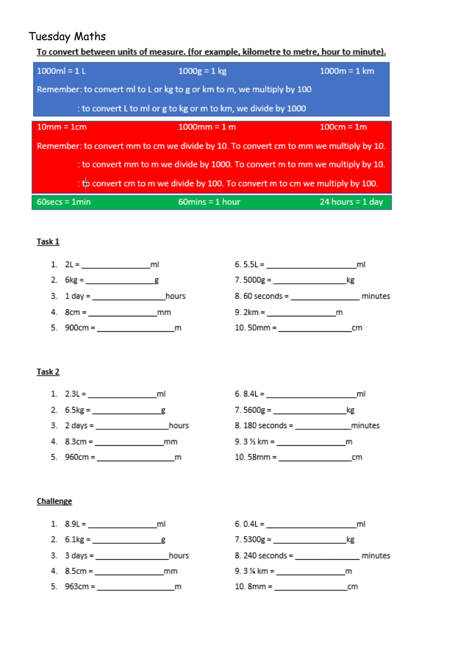## **Tuesday Maths**

To convert between units of measure. (for example, kilometre to metre, hour to minute).

| $1000ml = 1L$                                                                         | $1000g = 1 kg$                    | $1000m = 1 km$     |  |  |  |  |  |
|---------------------------------------------------------------------------------------|-----------------------------------|--------------------|--|--|--|--|--|
| Remember: to convert ml to L or kg to g or km to m, we multiply by 100                |                                   |                    |  |  |  |  |  |
| : to convert L to ml or g to kg or m to km, we divide by 1000                         |                                   |                    |  |  |  |  |  |
| $10mm = 1cm$                                                                          | $1000$ mm = 1 m                   | $100cm = 1m$       |  |  |  |  |  |
| Remember: to convert mm to cm we divide by 10. To convert cm to mm we multiply by 10. |                                   |                    |  |  |  |  |  |
| : to convert mm to m we divide by 1000. To convert m to mm we multiply by 10.         |                                   |                    |  |  |  |  |  |
| : the convertion to m we divide by 100. To convert m to cm we multiply by 100.        |                                   |                    |  |  |  |  |  |
| $60$ secs = 1 $min$                                                                   | $60 \text{mins} = 1 \text{ hour}$ | 24 hours = $1$ day |  |  |  |  |  |

### Task 1



### Task 2

1.  $2.3L =$  ml  $6.8.4L =$  ml 

### Challenge



- 
- 3. 3 days = hours
- 
-